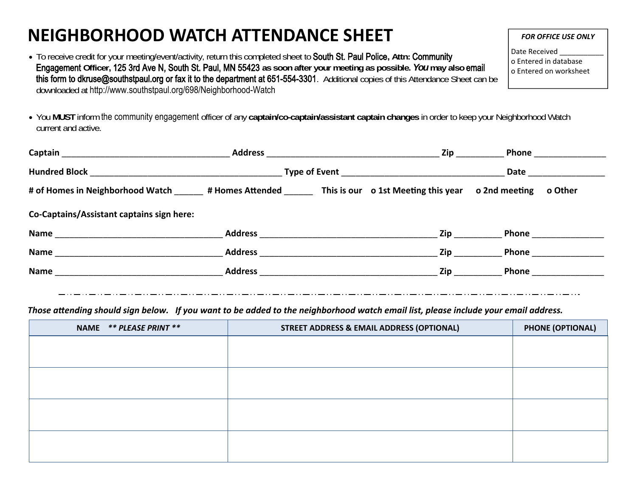## **NEIGHBORHOOD WATCH ATTENDANCE SHEET**

- To receive credit for your meeting/event/activity, return this completed sheet to South St. Paul Police**, Attn:** Community Engagement **Officer,** 125 3rd Ave N, South St. Paul, MN 55423 **as soon after your meeting as possible.** *You* **may also** email this form to dkruse@southstpaul.org or fax it to the department at 651-554-3301. Additional copies of this Attendance Sheet can be downloaded at http://www.southstpaul.org/698/Neighborhood-Watch
- You **MUST** inform the community engagement officer of any **captain/co-captain/assistant captain changes** in order to keep your Neighborhood Watch current and active.

|                                                                                                       | <b>Address</b> | Zip             | Phone                                                                                                                                                                                                                              |  |
|-------------------------------------------------------------------------------------------------------|----------------|-----------------|------------------------------------------------------------------------------------------------------------------------------------------------------------------------------------------------------------------------------------|--|
|                                                                                                       |                |                 | <b>Date</b>                                                                                                                                                                                                                        |  |
| # of Homes in Neighborhood Watch # Homes Attended This is our of the Meeting this year of 2nd meeting |                |                 | o Other                                                                                                                                                                                                                            |  |
| Co-Captains/Assistant captains sign here:                                                             |                |                 |                                                                                                                                                                                                                                    |  |
|                                                                                                       |                | Zip             | <b>Phone Contract Contract Contract Contract Contract Contract Contract Contract Contract Contract Contract Contract Contract Contract Contract Contract Contract Contract Contract Contract Contract Contract Contract Contra</b> |  |
| <b>Name</b>                                                                                           | <b>Address</b> | Zip             | Phone                                                                                                                                                                                                                              |  |
| Name                                                                                                  |                | <b>Ziperman</b> | <b>Phone Company</b>                                                                                                                                                                                                               |  |
|                                                                                                       |                |                 |                                                                                                                                                                                                                                    |  |

Those attending should sign below. If you want to be added to the neighborhood watch email list, please include your email address.

| NAME ** PLEASE PRINT ** | <b>STREET ADDRESS &amp; EMAIL ADDRESS (OPTIONAL)</b> | <b>PHONE (OPTIONAL)</b> |
|-------------------------|------------------------------------------------------|-------------------------|
|                         |                                                      |                         |
|                         |                                                      |                         |
|                         |                                                      |                         |
|                         |                                                      |                         |
|                         |                                                      |                         |
|                         |                                                      |                         |
|                         |                                                      |                         |
|                         |                                                      |                         |

*FOR OFFICE USE ONLY*

Date Received o Entered in database o Entered on worksheet